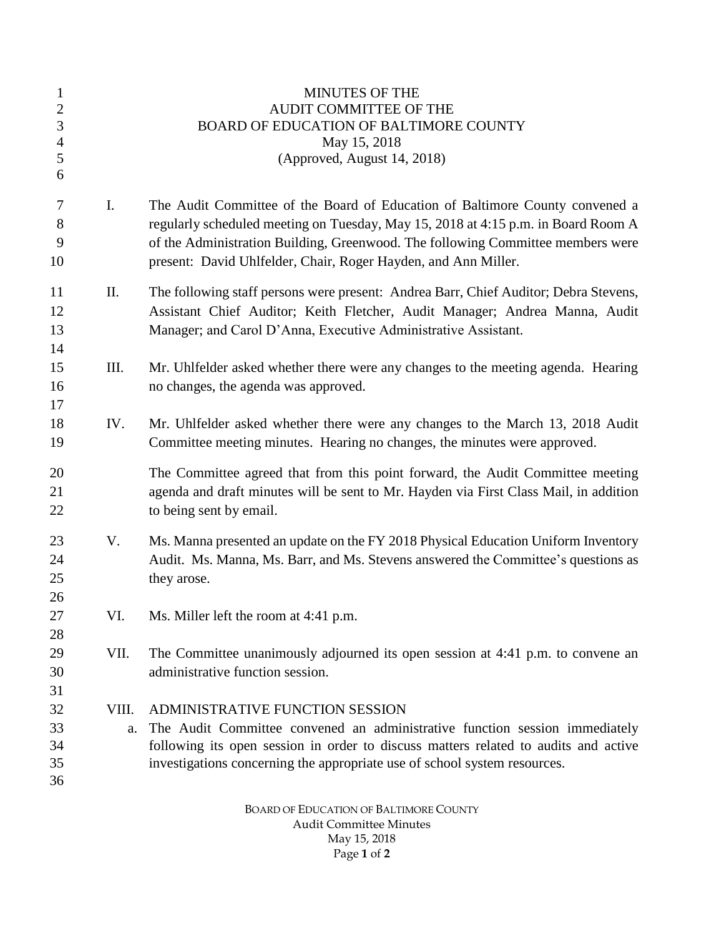| $\mathbf{1}$<br>$\mathbf{2}$ |       | <b>MINUTES OF THE</b><br>AUDIT COMMITTEE OF THE                                       |
|------------------------------|-------|---------------------------------------------------------------------------------------|
| 3                            |       | BOARD OF EDUCATION OF BALTIMORE COUNTY                                                |
| $\overline{4}$               |       | May 15, 2018                                                                          |
| 5                            |       | (Approved, August 14, 2018)                                                           |
| 6                            |       |                                                                                       |
| $\tau$                       | I.    | The Audit Committee of the Board of Education of Baltimore County convened a          |
| 8                            |       | regularly scheduled meeting on Tuesday, May 15, 2018 at 4:15 p.m. in Board Room A     |
| 9                            |       | of the Administration Building, Greenwood. The following Committee members were       |
| 10                           |       | present: David Uhlfelder, Chair, Roger Hayden, and Ann Miller.                        |
| 11                           | Π.    | The following staff persons were present: Andrea Barr, Chief Auditor; Debra Stevens,  |
| 12                           |       | Assistant Chief Auditor; Keith Fletcher, Audit Manager; Andrea Manna, Audit           |
| 13                           |       | Manager; and Carol D'Anna, Executive Administrative Assistant.                        |
| 14                           |       |                                                                                       |
| 15                           | III.  | Mr. Uhlfelder asked whether there were any changes to the meeting agenda. Hearing     |
| 16                           |       | no changes, the agenda was approved.                                                  |
| 17                           |       |                                                                                       |
| 18                           | IV.   | Mr. Uhlfelder asked whether there were any changes to the March 13, 2018 Audit        |
| 19                           |       | Committee meeting minutes. Hearing no changes, the minutes were approved.             |
| 20                           |       | The Committee agreed that from this point forward, the Audit Committee meeting        |
| 21                           |       | agenda and draft minutes will be sent to Mr. Hayden via First Class Mail, in addition |
| 22                           |       | to being sent by email.                                                               |
| 23                           | V.    | Ms. Manna presented an update on the FY 2018 Physical Education Uniform Inventory     |
| 24                           |       | Audit. Ms. Manna, Ms. Barr, and Ms. Stevens answered the Committee's questions as     |
| 25                           |       | they arose.                                                                           |
| 26                           |       |                                                                                       |
| $27\,$                       | VI.   | Ms. Miller left the room at 4:41 p.m.                                                 |
| 28                           |       |                                                                                       |
| 29                           | VII.  | The Committee unanimously adjourned its open session at 4:41 p.m. to convene an       |
| 30                           |       | administrative function session.                                                      |
| 31                           |       |                                                                                       |
| 32                           | VIII. | ADMINISTRATIVE FUNCTION SESSION                                                       |
| 33                           | a.    | The Audit Committee convened an administrative function session immediately           |
| 34                           |       | following its open session in order to discuss matters related to audits and active   |
| 35                           |       | investigations concerning the appropriate use of school system resources.             |
| 36                           |       |                                                                                       |
|                              |       |                                                                                       |

BOARD OF EDUCATION OF BALTIMORE COUNTY Audit Committee Minutes May 15, 2018 Page **1** of **2**